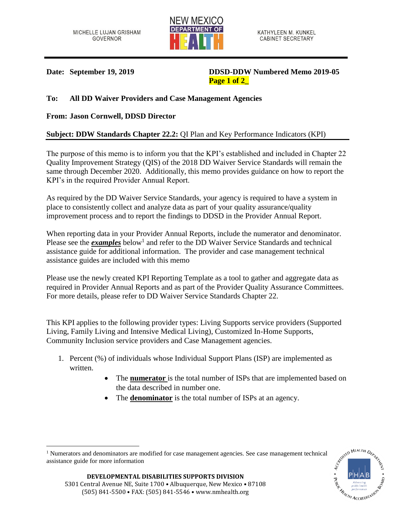

 $\overline{a}$ 

**Date: September 19, 2019 DDSD-DDW Numbered Memo 2019-05 Page 1 of 2\_**

## **To: All DD Waiver Providers and Case Management Agencies**

## **From: Jason Cornwell, DDSD Director**

## **Subject: DDW Standards Chapter 22.2:** QI Plan and Key Performance Indicators (KPI)

The purpose of this memo is to inform you that the KPI's established and included in Chapter 22 Quality Improvement Strategy (QIS) of the 2018 DD Waiver Service Standards will remain the same through December 2020. Additionally, this memo provides guidance on how to report the KPI's in the required Provider Annual Report.

As required by the DD Waiver Service Standards, your agency is required to have a system in place to consistently collect and analyze data as part of your quality assurance/quality improvement process and to report the findings to DDSD in the Provider Annual Report.

When reporting data in your Provider Annual Reports, include the numerator and denominator. Please see the *examples* below<sup>1</sup> and refer to the DD Waiver Service Standards and technical assistance guide for additional information. The provider and case management technical assistance guides are included with this memo

Please use the newly created KPI Reporting Template as a tool to gather and aggregate data as required in Provider Annual Reports and as part of the Provider Quality Assurance Committees. For more details, please refer to DD Waiver Service Standards Chapter 22.

This KPI applies to the following provider types: Living Supports service providers (Supported Living, Family Living and Intensive Medical Living), Customized In-Home Supports, Community Inclusion service providers and Case Management agencies.

- 1. Percent (%) of individuals whose Individual Support Plans (ISP) are implemented as written.
	- The **numerator** is the total number of ISPs that are implemented based on the data described in number one.
	- The **denominator** is the total number of ISPs at an agency.



<sup>1</sup> Numerators and denominators are modified for case management agencies. See case management technical assistance guide for more information